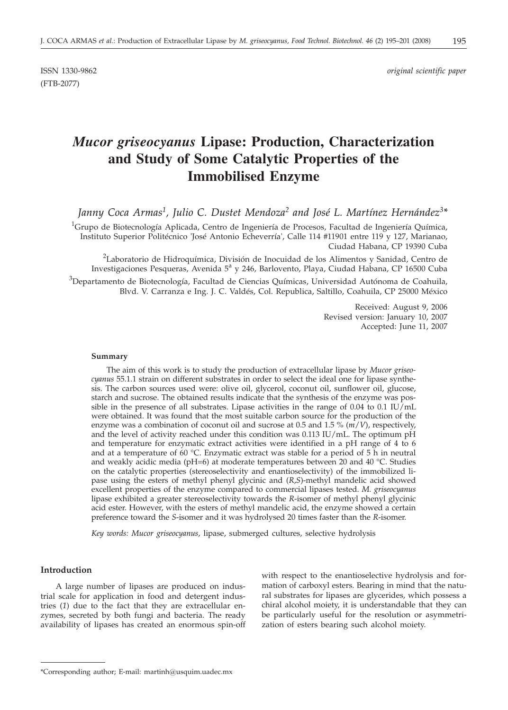# ISSN 1330-9862 *original scientific paper*

# *Mucor griseocyanus* **Lipase: Production, Characterization and Study of Some Catalytic Properties of the Immobilised Enzyme**

*Janny Coca Armas1, Julio C. Dustet Mendoza2 and José L. Martínez Hernández3\**

 $^1$ Grupo de Biotecnología Aplicada, Centro de Ingeniería de Procesos, Facultad de Ingeniería Química, Instituto Superior Politécnico 'José Antonio Echeverría', Calle 114 #11901 entre 119 y 127, Marianao, Ciudad Habana, CP 19390 Cuba

<sup>2</sup>Laboratorio de Hidroquímica, División de Inocuidad de los Alimentos y Sanidad, Centro de Investigaciones Pesqueras, Avenida 5<sup>a</sup> y 246, Barlovento, Playa, Ciudad Habana, CP 16500 Cuba  $^3$ Departamento de Biotecnología, Facultad de Ciencias Químicas, Universidad Autónoma de Coahuila, Blvd. V. Carranza e Ing. J. C. Valdés, Col. Republica, Saltillo, Coahuila, CP 25000 México

> Received: August 9, 2006 Revised version: January 10, 2007 Accepted: June 11, 2007

#### **Summary**

The aim of this work is to study the production of extracellular lipase by *Mucor griseocyanus* 55.1.1 strain on different substrates in order to select the ideal one for lipase synthesis. The carbon sources used were: olive oil, glycerol, coconut oil, sunflower oil, glucose, starch and sucrose. The obtained results indicate that the synthesis of the enzyme was possible in the presence of all substrates. Lipase activities in the range of 0.04 to 0.1 IU/mL were obtained. It was found that the most suitable carbon source for the production of the enzyme was a combination of coconut oil and sucrose at 0.5 and 1.5 % (*m*/*V*), respectively, and the level of activity reached under this condition was 0.113 IU/mL. The optimum pH and temperature for enzymatic extract activities were identified in a pH range of 4 to 6 and at a temperature of 60 °C. Enzymatic extract was stable for a period of 5  $\overline{h}$  in neutral and weakly acidic media (pH=6) at moderate temperatures between 20 and 40 °C. Studies on the catalytic properties (stereoselectivity and enantioselectivity) of the immobilized lipase using the esters of methyl phenyl glycinic and (*R*,*S*)-methyl mandelic acid showed excellent properties of the enzyme compared to commercial lipases tested. *M. griseocyanus* lipase exhibited a greater stereoselectivity towards the *R*-isomer of methyl phenyl glycinic acid ester. However, with the esters of methyl mandelic acid, the enzyme showed a certain preference toward the *S*-isomer and it was hydrolysed 20 times faster than the *R*-isomer.

*Key words: Mucor griseocyanus*, lipase, submerged cultures, selective hydrolysis

## **Introduction**

A large number of lipases are produced on industrial scale for application in food and detergent industries (*1*) due to the fact that they are extracellular enzymes, secreted by both fungi and bacteria. The ready availability of lipases has created an enormous spin-off

with respect to the enantioselective hydrolysis and formation of carboxyl esters. Bearing in mind that the natural substrates for lipases are glycerides, which possess a chiral alcohol moiety, it is understandable that they can be particularly useful for the resolution or asymmetrization of esters bearing such alcohol moiety.

<sup>\*</sup>Corresponding author; E-mail: martinh@usquim.uadec.mx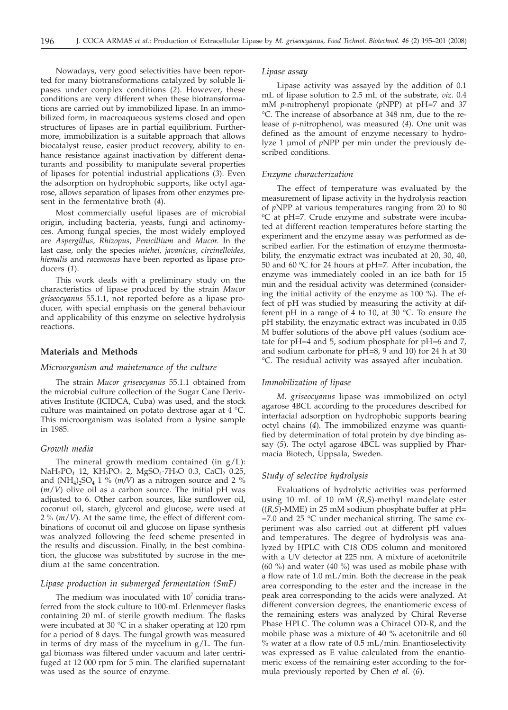Nowadays, very good selectivities have been reported for many biotransformations catalyzed by soluble lipases under complex conditions (*2*). However, these conditions are very different when these biotransformations are carried out by immobilized lipase. In an immobilized form, in macroaqueous systems closed and open structures of lipases are in partial equilibrium. Furthermore, immobilization is a suitable approach that allows biocatalyst reuse, easier product recovery, ability to enhance resistance against inactivation by different denaturants and possibility to manipulate several properties of lipases for potential industrial applications (*3*). Even the adsorption on hydrophobic supports, like octyl agarose, allows separation of lipases from other enzymes present in the fermentative broth (*4*).

Most commercially useful lipases are of microbial origin, including bacteria, yeasts, fungi and actinomyces. Among fungal species, the most widely employed are *Aspergillus, Rhizopus, Penicillium* and *Mucor*. In the last case, only the species *miehei, javanicus, circinelloides, hiemalis* and *racemosus* have been reported as lipase producers (*1*).

This work deals with a preliminary study on the characteristics of lipase produced by the strain *Mucor griseocyanus* 55.1.1, not reported before as a lipase producer, with special emphasis on the general behaviour and applicability of this enzyme on selective hydrolysis reactions.

## **Materials and Methods**

#### *Microorganism and maintenance of the culture*

The strain *Mucor griseocyanus* 55.1.1 obtained from the microbial culture collection of the Sugar Cane Derivatives Institute (ICIDCA, Cuba) was used, and the stock culture was maintained on potato dextrose agar at 4 °C. This microorganism was isolated from a lysine sample in 1985.

#### *Growth media*

The mineral growth medium contained (in  $g/L$ ): NaH<sub>2</sub>PO<sub>4</sub> 12, KH<sub>2</sub>PO<sub>4</sub> 2, MgSO<sub>4</sub>·7H<sub>2</sub>O 0.3, CaCl<sub>2</sub> 0.25, and  $(NH_4)_2SO_4$  1 % (*m/V*) as a nitrogen source and 2 % (*m*/*V*) olive oil as a carbon source. The initial pH was adjusted to 6. Other carbon sources, like sunflower oil, coconut oil, starch, glycerol and glucose, were used at 2%(*m*/*V*). At the same time, the effect of different combinations of coconut oil and glucose on lipase synthesis was analyzed following the feed scheme presented in the results and discussion. Finally, in the best combination, the glucose was substituted by sucrose in the medium at the same concentration.

## *Lipase production in submerged fermentation (SmF)*

The medium was inoculated with  $10<sup>7</sup>$  conidia transferred from the stock culture to 100-mL Erlenmeyer flasks containing 20 mL of sterile growth medium. The flasks were incubated at 30 °C in a shaker operating at 120 rpm for a period of 8 days. The fungal growth was measured in terms of dry mass of the mycelium in g/L. The fungal biomass was filtered under vacuum and later centrifuged at 12 000 rpm for 5 min. The clarified supernatant was used as the source of enzyme.

# *Lipase assay*

Lipase activity was assayed by the addition of 0.1 mL of lipase solution to 2.5 mL of the substrate, *viz*. 0.4 mM *p*-nitrophenyl propionate (*p*NPP) at pH=7 and 37 °C. The increase of absorbance at 348 nm, due to the release of *p*-nitrophenol, was measured (*4*). One unit was defined as the amount of enzyme necessary to hydrolyze 1 µmol of *p*NPP per min under the previously described conditions.

#### *Enzyme characterization*

The effect of temperature was evaluated by the measurement of lipase activity in the hydrolysis reaction of *p*NPP at various temperatures ranging from 20 to 80 oC at pH=7. Crude enzyme and substrate were incubated at different reaction temperatures before starting the experiment and the enzyme assay was performed as described earlier. For the estimation of enzyme thermostability, the enzymatic extract was incubated at 20, 30, 40, 50 and 60  $\degree$ C for 24 hours at pH=7. After incubation, the enzyme was immediately cooled in an ice bath for 15 min and the residual activity was determined (considering the initial activity of the enzyme as 100 %). The effect of pH was studied by measuring the activity at different pH in a range of 4 to 10, at 30 °C. To ensure the pH stability, the enzymatic extract was incubated in 0.05 M buffer solutions of the above pH values (sodium acetate for pH=4 and 5, sodium phosphate for pH=6 and 7, and sodium carbonate for pH=8, 9 and 10) for 24 h at 30 °C. The residual activity was assayed after incubation.

#### *Immobilization of lipase*

*M. griseocyanus* lipase was immobilized on octyl agarose 4BCL according to the procedures described for interfacial adsorption on hydrophobic supports bearing octyl chains (*4*). The immobilized enzyme was quantified by determination of total protein by dye binding assay (*5*). The octyl agarose 4BCL was supplied by Pharmacia Biotech, Uppsala, Sweden.

## *Study of selective hydrolysis*

Evaluations of hydrolytic activities was performed using 10 mL of 10 mM (*R,S*)-methyl mandelate ester ((*R,S*)-MME) in 25 mM sodium phosphate buffer at pH=  $=7.0$  and 25 °C under mechanical stirring. The same experiment was also carried out at different pH values and temperatures. The degree of hydrolysis was analyzed by HPLC with C18 ODS column and monitored with a UV detector at 225 nm. A mixture of acetonitrile (60 %) and water (40 %) was used as mobile phase with a flow rate of 1.0 mL/min. Both the decrease in the peak area corresponding to the ester and the increase in the peak area corresponding to the acids were analyzed. At different conversion degrees, the enantiomeric excess of the remaining esters was analyzed by Chiral Reverse Phase HPLC. The column was a Chiracel OD-R, and the mobile phase was a mixture of 40 % acetonitrile and 60 % water at a flow rate of 0.5 mL/min. Enantioselectivity was expressed as E value calculated from the enantiomeric excess of the remaining ester according to the formula previously reported by Chen *et al*. (*6*).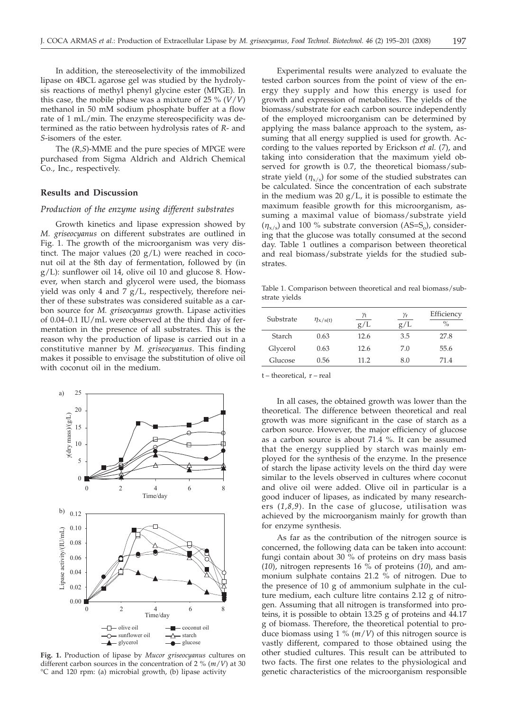In addition, the stereoselectivity of the immobilized lipase on 4BCL agarose gel was studied by the hydrolysis reactions of methyl phenyl glycine ester (MPGE). In this case, the mobile phase was a mixture of 25 % (*V*/*V*) methanol in 50 mM sodium phosphate buffer at a flow rate of 1 mL/min. The enzyme stereospecificity was determined as the ratio between hydrolysis rates of *R*- and *S*-isomers of the ester.

The (*R,S*)-MME and the pure species of MPGE were purchased from Sigma Aldrich and Aldrich Chemical Co., Inc., respectively.

#### **Results and Discussion**

## *Production of the enzyme using different substrates*

Growth kinetics and lipase expression showed by *M. griseocyanus* on different substrates are outlined in Fig. 1. The growth of the microorganism was very distinct. The major values (20  $g/L$ ) were reached in coconut oil at the 8th day of fermentation, followed by (in g/L): sunflower oil 14, olive oil 10 and glucose 8. However, when starch and glycerol were used, the biomass yield was only 4 and 7 g/L, respectively, therefore neither of these substrates was considered suitable as a carbon source for *M. griseocyanus* growth. Lipase activities of 0.04–0.1 IU/mL were observed at the third day of fermentation in the presence of all substrates. This is the reason why the production of lipase is carried out in a constitutive manner by *M. griseocyanus*. This finding makes it possible to envisage the substitution of olive oil with coconut oil in the medium.



**Fig. 1.** Production of lipase by *Mucor griseocyanus* cultures on different carbon sources in the concentration of 2 % (*m*/*V*) at 30 °C and 120 rpm: (a) microbial growth, (b) lipase activity

Experimental results were analyzed to evaluate the tested carbon sources from the point of view of the energy they supply and how this energy is used for growth and expression of metabolites. The yields of the biomass/substrate for each carbon source independently of the employed microorganism can be determined by applying the mass balance approach to the system, assuming that all energy supplied is used for growth. According to the values reported by Erickson *et al.* (*7*), and taking into consideration that the maximum yield observed for growth is 0.7, the theoretical biomass/substrate yield  $(\eta_{x/s})$  for some of the studied substrates can be calculated. Since the concentration of each substrate in the medium was 20  $g/L$ , it is possible to estimate the maximum feasible growth for this microorganism, assuming a maximal value of biomass/substrate yield  $(\eta_{x/s})$  and 100 % substrate conversion (AS=S<sub>o</sub>), considering that the glucose was totally consumed at the second day. Table 1 outlines a comparison between theoretical and real biomass/substrate yields for the studied substrates.

Table 1. Comparison between theoretical and real biomass/substrate yields

| Substrate | $\eta_{\rm X/S(t)}$ | γŧ<br>g/L | γr<br>g/L | Efficiency<br>$\frac{0}{0}$ |
|-----------|---------------------|-----------|-----------|-----------------------------|
| Starch    | 0.63                | 12.6      | 3.5       | 27.8                        |
| Glycerol  | 0.63                | 12.6      | 7.0       | 55.6                        |
| Glucose   | 0.56                | 11.2      | 8.0       | 71.4                        |

t – theoretical, r – real

In all cases, the obtained growth was lower than the theoretical. The difference between theoretical and real growth was more significant in the case of starch as a carbon source. However, the major efficiency of glucose as a carbon source is about 71.4 %. It can be assumed that the energy supplied by starch was mainly employed for the synthesis of the enzyme. In the presence of starch the lipase activity levels on the third day were similar to the levels observed in cultures where coconut and olive oil were added. Olive oil in particular is a good inducer of lipases, as indicated by many researchers (*1,8,9*). In the case of glucose, utilisation was achieved by the microorganism mainly for growth than for enzyme synthesis.

As far as the contribution of the nitrogen source is concerned, the following data can be taken into account: fungi contain about 30 % of proteins on dry mass basis (*10*), nitrogen represents 16 % of proteins (*10*), and ammonium sulphate contains 21.2 % of nitrogen. Due to the presence of 10 g of ammonium sulphate in the culture medium, each culture litre contains 2.12 g of nitrogen. Assuming that all nitrogen is transformed into proteins, it is possible to obtain 13.25 g of proteins and 44.17 g of biomass. Therefore, the theoretical potential to produce biomass using 1 % (*m*/*V*) of this nitrogen source is vastly different, compared to those obtained using the other studied cultures. This result can be attributed to two facts. The first one relates to the physiological and genetic characteristics of the microorganism responsible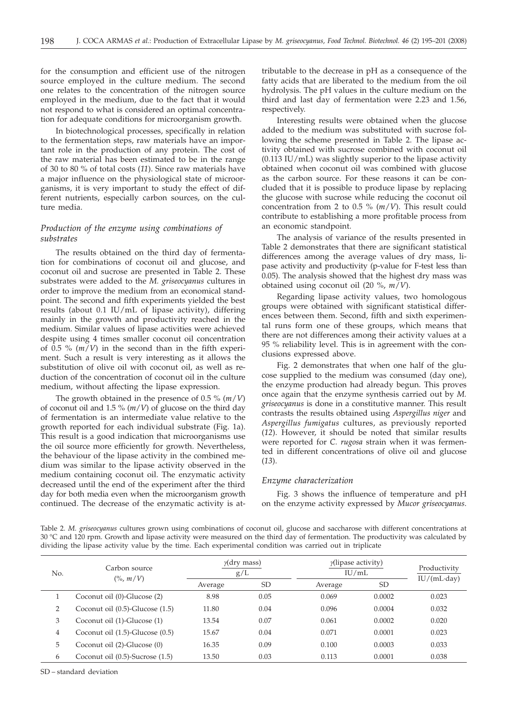for the consumption and efficient use of the nitrogen source employed in the culture medium. The second one relates to the concentration of the nitrogen source employed in the medium, due to the fact that it would not respond to what is considered an optimal concentration for adequate conditions for microorganism growth.

In biotechnological processes, specifically in relation to the fermentation steps, raw materials have an important role in the production of any protein. The cost of the raw material has been estimated to be in the range of 30 to 80 % of total costs (*11*). Since raw materials have a major influence on the physiological state of microorganisms, it is very important to study the effect of different nutrients, especially carbon sources, on the culture media.

# *Production of the enzyme using combinations of substrates*

The results obtained on the third day of fermentation for combinations of coconut oil and glucose, and coconut oil and sucrose are presented in Table 2. These substrates were added to the *M. griseocyanus* cultures in order to improve the medium from an economical standpoint. The second and fifth experiments yielded the best results (about 0.1 IU/mL of lipase activity), differing mainly in the growth and productivity reached in the medium. Similar values of lipase activities were achieved despite using 4 times smaller coconut oil concentration of 0.5 % (*m*/*V*) in the second than in the fifth experiment. Such a result is very interesting as it allows the substitution of olive oil with coconut oil, as well as reduction of the concentration of coconut oil in the culture medium, without affecting the lipase expression.

The growth obtained in the presence of 0.5 % (*m*/*V*) of coconut oil and 1.5 % (*m*/*V*) of glucose on the third day of fermentation is an intermediate value relative to the growth reported for each individual substrate (Fig. 1a). This result is a good indication that microorganisms use the oil source more efficiently for growth. Nevertheless, the behaviour of the lipase activity in the combined medium was similar to the lipase activity observed in the medium containing coconut oil. The enzymatic activity decreased until the end of the experiment after the third day for both media even when the microorganism growth continued. The decrease of the enzymatic activity is at-

tributable to the decrease in pH as a consequence of the fatty acids that are liberated to the medium from the oil hydrolysis. The pH values in the culture medium on the third and last day of fermentation were 2.23 and 1.56, respectively.

Interesting results were obtained when the glucose added to the medium was substituted with sucrose following the scheme presented in Table 2. The lipase activity obtained with sucrose combined with coconut oil (0.113 IU/mL) was slightly superior to the lipase activity obtained when coconut oil was combined with glucose as the carbon source. For these reasons it can be concluded that it is possible to produce lipase by replacing the glucose with sucrose while reducing the coconut oil concentration from 2 to 0.5 % (*m*/*V*). This result could contribute to establishing a more profitable process from an economic standpoint.

The analysis of variance of the results presented in Table 2 demonstrates that there are significant statistical differences among the average values of dry mass, lipase activity and productivity (p-value for F-test less than 0.05). The analysis showed that the highest dry mass was obtained using coconut oil (20 %, *m*/*V*).

Regarding lipase activity values, two homologous groups were obtained with significant statistical differences between them. Second, fifth and sixth experimental runs form one of these groups, which means that there are not differences among their activity values at a 95 % reliability level. This is in agreement with the conclusions expressed above.

Fig. 2 demonstrates that when one half of the glucose supplied to the medium was consumed (day one), the enzyme production had already begun. This proves once again that the enzyme synthesis carried out by *M. griseocyanus* is done in a constitutive manner. This result contrasts the results obtained using *Aspergillus niger* and *Aspergillus fumigatus* cultures, as previously reported (*12*). However, it should be noted that similar results were reported for *C. rugosa* strain when it was fermented in different concentrations of olive oil and glucose (*13*).

## *Enzyme characterization*

Fig. 3 shows the influence of temperature and pH on the enzyme activity expressed by *Mucor griseocyanus*.

Table 2. *M. griseocyanus* cultures grown using combinations of coconut oil, glucose and saccharose with different concentrations at 30 °C and 120 rpm. Growth and lipase activity were measured on the third day of fermentation. The productivity was calculated by dividing the lipase activity value by the time. Each experimental condition was carried out in triplicate

| No. | Carbon source<br>$($ %, m/V)         | $\gamma$ (dry mass)<br>g/L |      |         | $\gamma$ (lipase activity)<br>IU/mL |                     |
|-----|--------------------------------------|----------------------------|------|---------|-------------------------------------|---------------------|
|     |                                      | Average                    | SD   | Average | SD                                  | $IU/(mL \cdot day)$ |
|     | Coconut oil (0)-Glucose (2)          | 8.98                       | 0.05 | 0.069   | 0.0002                              | 0.023               |
| 2   | Coconut oil (0.5)-Glucose (1.5)      | 11.80                      | 0.04 | 0.096   | 0.0004                              | 0.032               |
| 3   | Coconut oil (1)-Glucose (1)          | 13.54                      | 0.07 | 0.061   | 0.0002                              | 0.020               |
| 4   | Coconut oil $(1.5)$ -Glucose $(0.5)$ | 15.67                      | 0.04 | 0.071   | 0.0001                              | 0.023               |
| 5   | Coconut oil (2)-Glucose (0)          | 16.35                      | 0.09 | 0.100   | 0.0003                              | 0.033               |
| 6   | Coconut oil (0.5)-Sucrose (1.5)      | 13.50                      | 0.03 | 0.113   | 0.0001                              | 0.038               |

SD – standard deviation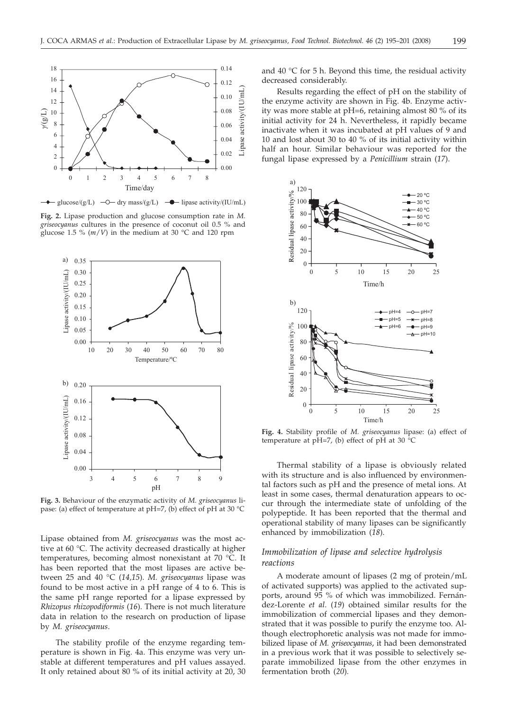

**Fig. 2.** Lipase production and glucose consumption rate in *M. griseocyanus* cultures in the presence of coconut oil 0.5 % and glucose 1.5 %  $(m/V)$  in the medium at 30 °C and 120 rpm



**Fig. 3.** Behaviour of the enzymatic activity of *M. griseocyanus* lipase: (a) effect of temperature at pH=7, (b) effect of pH at 30 °C

Lipase obtained from *M. griseocyanus* was the most active at 60 °C. The activity decreased drastically at higher temperatures, becoming almost nonexistant at 70 °C. It has been reported that the most lipases are active between 25 and 40 °C (*14,15*). *M. griseocyanus* lipase was found to be most active in a pH range of 4 to 6. This is the same pH range reported for a lipase expressed by *Rhizopus rhizopodiformis* (*16*). There is not much literature data in relation to the research on production of lipase by *M. griseocyanus*.

The stability profile of the enzyme regarding temperature is shown in Fig. 4a. This enzyme was very unstable at different temperatures and pH values assayed. It only retained about 80 % of its initial activity at 20, 30

and  $40 \degree C$  for 5 h. Beyond this time, the residual activity decreased considerably.

Results regarding the effect of pH on the stability of the enzyme activity are shown in Fig. 4b. Enzyme activity was more stable at pH=6, retaining almost 80 % of its initial activity for 24 h. Nevertheless, it rapidly became inactivate when it was incubated at pH values of 9 and 10 and lost about 30 to 40 % of its initial activity within half an hour. Similar behaviour was reported for the fungal lipase expressed by a *Penicillium* strain (*17*).



**Fig. 4.** Stability profile of *M. griseocyanus* lipase: (a) effect of temperature at pH=7, (b) effect of pH at 30  $^{\circ}$ C

Thermal stability of a lipase is obviously related with its structure and is also influenced by environmental factors such as pH and the presence of metal ions. At least in some cases, thermal denaturation appears to occur through the intermediate state of unfolding of the polypeptide. It has been reported that the thermal and operational stability of many lipases can be significantly enhanced by immobilization (*18*).

# *Immobilization of lipase and selective hydrolysis reactions*

A moderate amount of lipases (2 mg of protein/mL of activated supports) was applied to the activated supports, around 95 % of which was immobilized. Fernández-Lorente *et al*. (*19*) obtained similar results for the immobilization of commercial lipases and they demonstrated that it was possible to purify the enzyme too. Although electrophoretic analysis was not made for immobilized lipase of *M. griseocyanus*, it had been demonstrated in a previous work that it was possible to selectively separate immobilized lipase from the other enzymes in fermentation broth (*20*)*.*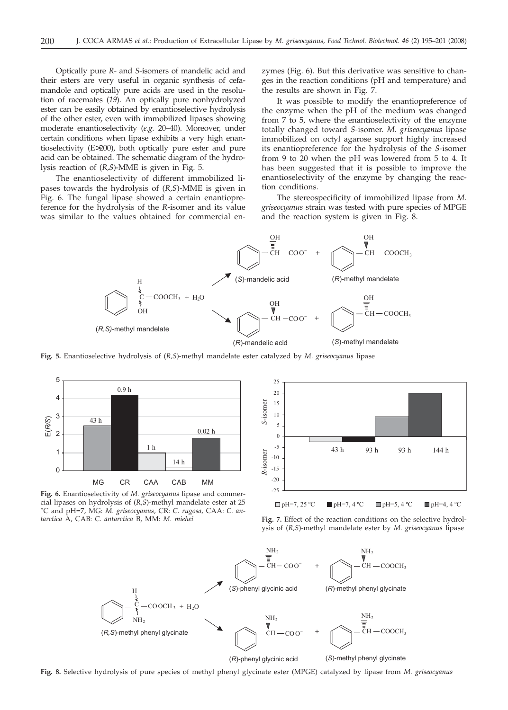Optically pure *R-* and *S-*isomers of mandelic acid and their esters are very useful in organic synthesis of cefamandole and optically pure acids are used in the resolution of racemates (*19*). An optically pure nonhydrolyzed ester can be easily obtained by enantioselective hydrolysis of the other ester, even with immobilized lipases showing moderate enantioselectivity (*e.g*. 20–40). Moreover, under certain conditions when lipase exhibits a very high enantioselectivity (E 200), both optically pure ester and pure acid can be obtained. The schematic diagram of the hydrolysis reaction of (*R,S*)-MME is given in Fig. 5.

The enantioselectivity of different immobilized lipases towards the hydrolysis of (*R,S*)-MME is given in Fig. 6. The fungal lipase showed a certain enantiopreference for the hydrolysis of the *R*-isomer and its value was similar to the values obtained for commercial en-

zymes (Fig. 6). But this derivative was sensitive to changes in the reaction conditions (pH and temperature) and the results are shown in Fig. 7.

It was possible to modify the enantiopreference of the enzyme when the pH of the medium was changed from 7 to 5, where the enantioselectivity of the enzyme totally changed toward *S-*isomer. *M. griseocyanus* lipase immobilized on octyl agarose support highly increased its enantiopreference for the hydrolysis of the *S-*isomer from 9 to 20 when the pH was lowered from 5 to 4. It has been suggested that it is possible to improve the enantioselectivity of the enzyme by changing the reaction conditions.

The stereospecificity of immobilized lipase from *M. griseocyanus* strain was tested with pure species of MPGE and the reaction system is given in Fig. 8.



**Fig. 5.** Enantioselective hydrolysis of (*R,S*)-methyl mandelate ester catalyzed by *M. griseocyanus* lipase



**Fig. 6.** Enantioselectivity of *M. griseocyanus* lipase and commercial lipases on hydrolysis of (*R,S*)-methyl mandelate ester at 25 °C and pH=7, MG: *M. griseocyanus,* CR: *C. rugosa,* CAA: *C. antarctica* A, CAB: *C. antarctica* B, MM: *M. miehei*



**Fig. 7.** Effect of the reaction conditions on the selective hydrolysis of (*R,S*)-methyl mandelate ester by *M. griseocyanus* lipase



**Fig. 8.** Selective hydrolysis of pure species of methyl phenyl glycinate ester (MPGE) catalyzed by lipase from *M. griseocyanus*